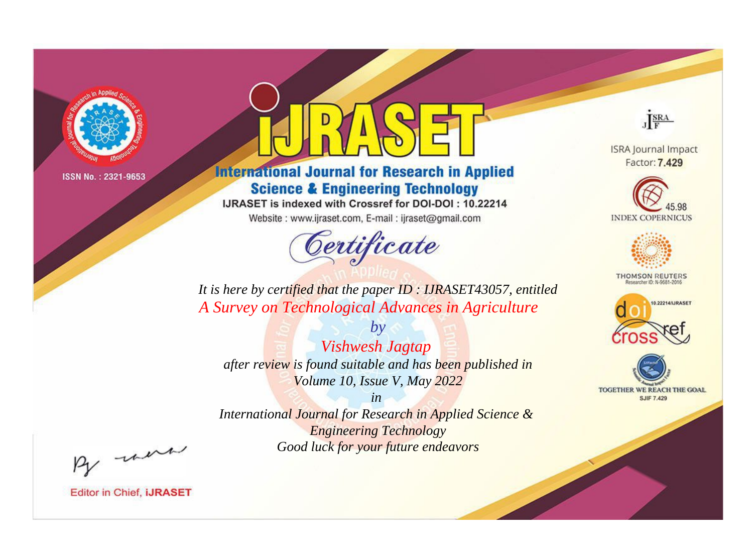

# **International Journal for Research in Applied Science & Engineering Technology**

IJRASET is indexed with Crossref for DOI-DOI: 10.22214

Website: www.ijraset.com, E-mail: ijraset@gmail.com



JERA

**ISRA Journal Impact** Factor: 7.429





**THOMSON REUTERS** 



TOGETHER WE REACH THE GOAL **SJIF 7.429** 

*It is here by certified that the paper ID : IJRASET43057, entitled A Survey on Technological Advances in Agriculture*

*by Vishwesh Jagtap after review is found suitable and has been published in Volume 10, Issue V, May 2022*

*in* 

*International Journal for Research in Applied Science & Engineering Technology Good luck for your future endeavors*

By morn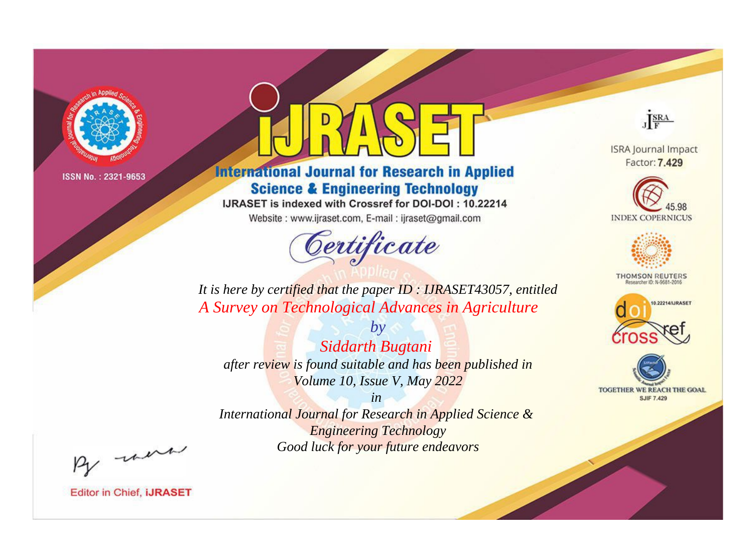

# **International Journal for Research in Applied Science & Engineering Technology**

IJRASET is indexed with Crossref for DOI-DOI: 10.22214

Website: www.ijraset.com, E-mail: ijraset@gmail.com



JERA

**ISRA Journal Impact** Factor: 7.429





**THOMSON REUTERS** 



TOGETHER WE REACH THE GOAL **SJIF 7.429** 

*It is here by certified that the paper ID : IJRASET43057, entitled A Survey on Technological Advances in Agriculture*

*by Siddarth Bugtani after review is found suitable and has been published in Volume 10, Issue V, May 2022*

*in* 

*International Journal for Research in Applied Science & Engineering Technology Good luck for your future endeavors*

By morn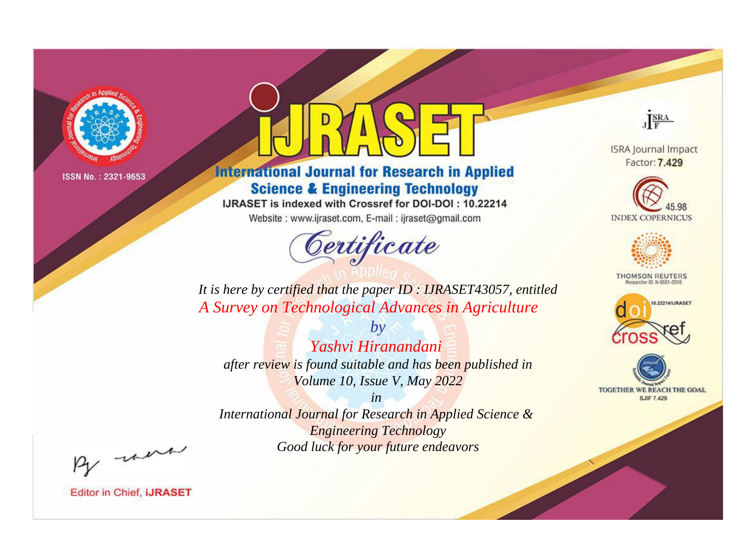

# **International Journal for Research in Applied Science & Engineering Technology**

IJRASET is indexed with Crossref for DOI-DOI: 10.22214

Website: www.ijraset.com, E-mail: ijraset@gmail.com



JERA

**ISRA Journal Impact** Factor: 7.429





**THOMSON REUTERS** 



TOGETHER WE REACH THE GOAL **SJIF 7.429** 

*It is here by certified that the paper ID : IJRASET43057, entitled A Survey on Technological Advances in Agriculture*

*by Yashvi Hiranandani after review is found suitable and has been published in Volume 10, Issue V, May 2022*

*in* 

*International Journal for Research in Applied Science & Engineering Technology Good luck for your future endeavors*

By morn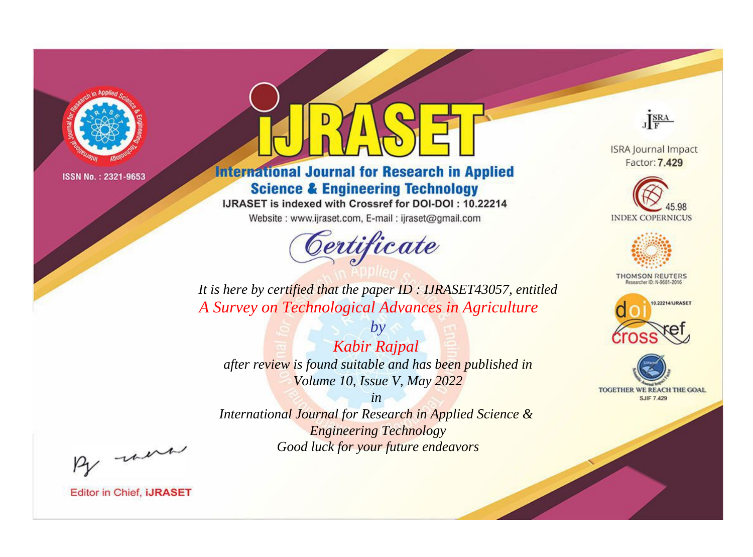

# **International Journal for Research in Applied Science & Engineering Technology**

IJRASET is indexed with Crossref for DOI-DOI: 10.22214

Website: www.ijraset.com, E-mail: ijraset@gmail.com



JERA

**ISRA Journal Impact** Factor: 7.429





**THOMSON REUTERS** 



TOGETHER WE REACH THE GOAL **SJIF 7.429** 

*It is here by certified that the paper ID : IJRASET43057, entitled A Survey on Technological Advances in Agriculture*

*Kabir Rajpal after review is found suitable and has been published in Volume 10, Issue V, May 2022*

*by*

*in International Journal for Research in Applied Science &* 

*Engineering Technology Good luck for your future endeavors*

By morn